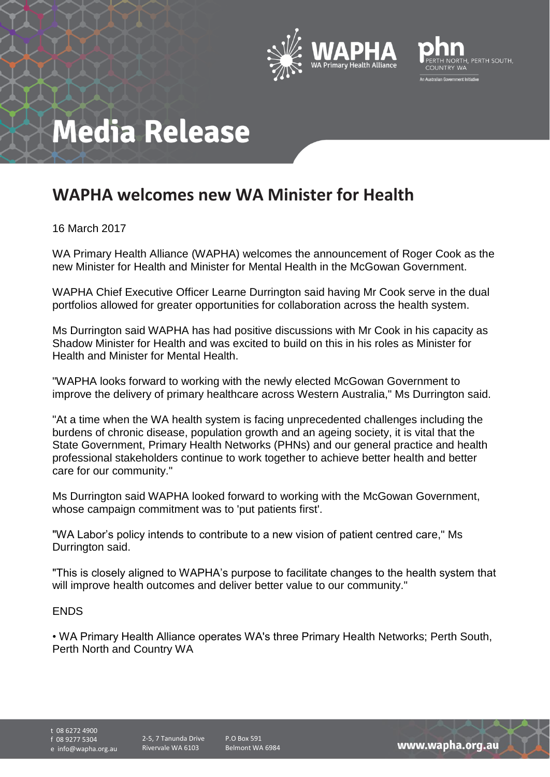



## **Media Release**

## **WAPHA welcomes new WA Minister for Health**

16 March 2017

WA Primary Health Alliance (WAPHA) welcomes the announcement of Roger Cook as the new Minister for Health and Minister for Mental Health in the McGowan Government.

WAPHA Chief Executive Officer Learne Durrington said having Mr Cook serve in the dual portfolios allowed for greater opportunities for collaboration across the health system.

Ms Durrington said WAPHA has had positive discussions with Mr Cook in his capacity as Shadow Minister for Health and was excited to build on this in his roles as Minister for Health and Minister for Mental Health.

"WAPHA looks forward to working with the newly elected McGowan Government to improve the delivery of primary healthcare across Western Australia," Ms Durrington said.

"At a time when the WA health system is facing unprecedented challenges including the burdens of chronic disease, population growth and an ageing society, it is vital that the State Government, Primary Health Networks (PHNs) and our general practice and health professional stakeholders continue to work together to achieve better health and better care for our community."

Ms Durrington said WAPHA looked forward to working with the McGowan Government, whose campaign commitment was to 'put patients first'.

"WA Labor's policy intends to contribute to a new vision of patient centred care," Ms Durrington said.

"This is closely aligned to WAPHA's purpose to facilitate changes to the health system that will improve health outcomes and deliver better value to our community."

## ENDS

• WA Primary Health Alliance operates WA's three Primary Health Networks; Perth South, Perth North and Country WA

t 08 6272 4900 f 08 9277 5304

e info@wapha.org.au 2-5, 7 Tanunda Drive Rivervale WA 6103

P.O Box 591 Belmont WA 6984

www.wapha.org.au